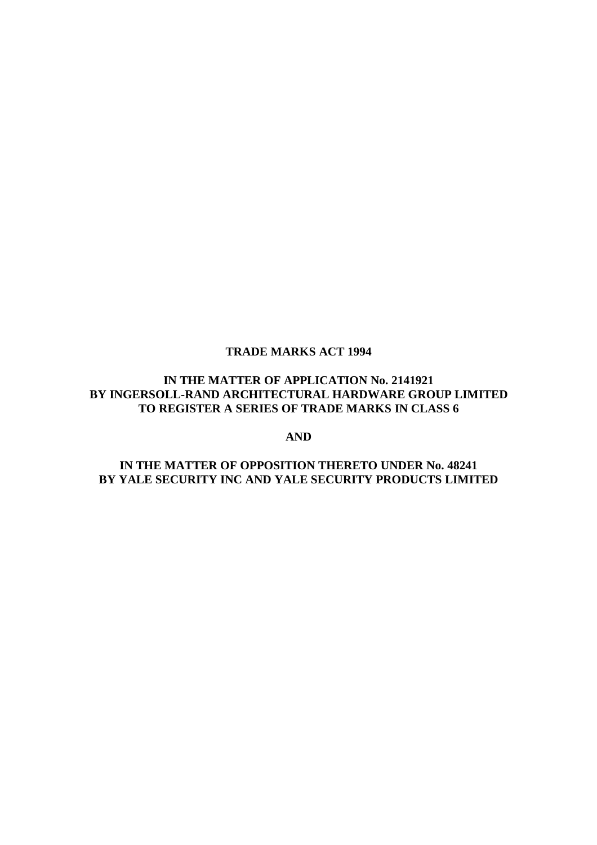# **TRADE MARKS ACT 1994**

# **IN THE MATTER OF APPLICATION No. 2141921 BY INGERSOLL-RAND ARCHITECTURAL HARDWARE GROUP LIMITED TO REGISTER A SERIES OF TRADE MARKS IN CLASS 6**

**AND**

# **IN THE MATTER OF OPPOSITION THERETO UNDER No. 48241 BY YALE SECURITY INC AND YALE SECURITY PRODUCTS LIMITED**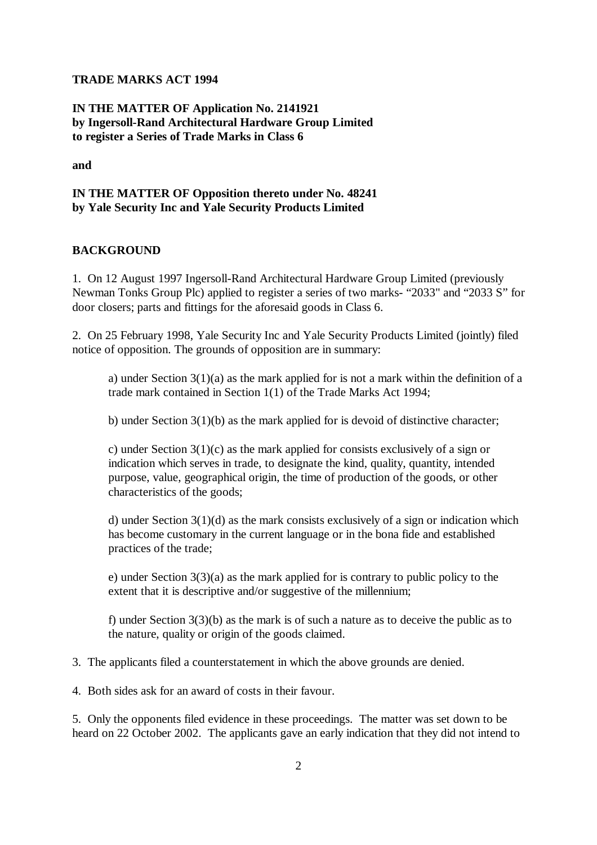#### **TRADE MARKS ACT 1994**

# **IN THE MATTER OF Application No. 2141921 by Ingersoll-Rand Architectural Hardware Group Limited to register a Series of Trade Marks in Class 6**

**and** 

## **IN THE MATTER OF Opposition thereto under No. 48241 by Yale Security Inc and Yale Security Products Limited**

#### **BACKGROUND**

1. On 12 August 1997 Ingersoll-Rand Architectural Hardware Group Limited (previously Newman Tonks Group Plc) applied to register a series of two marks- "2033" and "2033 S" for door closers; parts and fittings for the aforesaid goods in Class 6.

2. On 25 February 1998, Yale Security Inc and Yale Security Products Limited (jointly) filed notice of opposition. The grounds of opposition are in summary:

a) under Section 3(1)(a) as the mark applied for is not a mark within the definition of a trade mark contained in Section 1(1) of the Trade Marks Act 1994;

b) under Section 3(1)(b) as the mark applied for is devoid of distinctive character;

c) under Section 3(1)(c) as the mark applied for consists exclusively of a sign or indication which serves in trade, to designate the kind, quality, quantity, intended purpose, value, geographical origin, the time of production of the goods, or other characteristics of the goods;

d) under Section 3(1)(d) as the mark consists exclusively of a sign or indication which has become customary in the current language or in the bona fide and established practices of the trade;

e) under Section  $3(3)(a)$  as the mark applied for is contrary to public policy to the extent that it is descriptive and/or suggestive of the millennium;

f) under Section 3(3)(b) as the mark is of such a nature as to deceive the public as to the nature, quality or origin of the goods claimed.

3. The applicants filed a counterstatement in which the above grounds are denied.

4. Both sides ask for an award of costs in their favour.

5. Only the opponents filed evidence in these proceedings. The matter was set down to be heard on 22 October 2002. The applicants gave an early indication that they did not intend to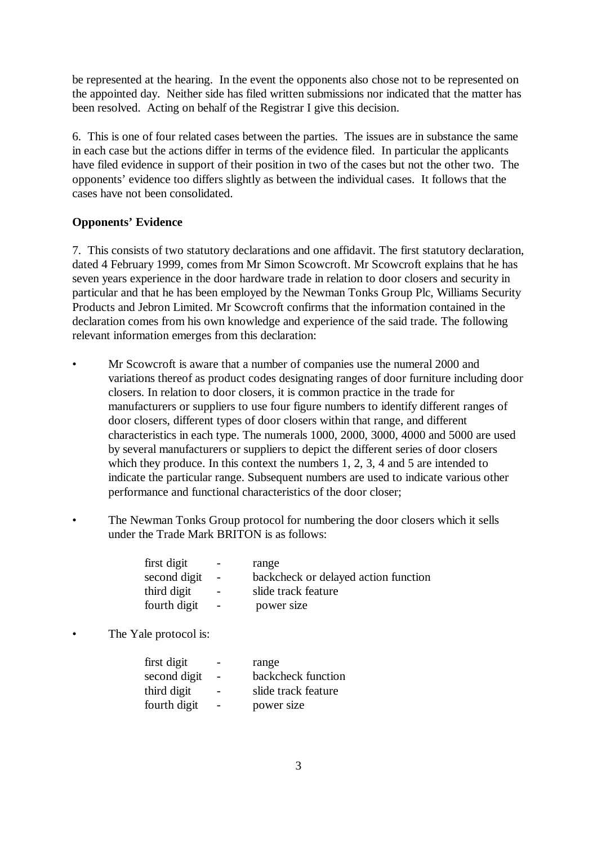be represented at the hearing. In the event the opponents also chose not to be represented on the appointed day. Neither side has filed written submissions nor indicated that the matter has been resolved. Acting on behalf of the Registrar I give this decision.

6. This is one of four related cases between the parties. The issues are in substance the same in each case but the actions differ in terms of the evidence filed. In particular the applicants have filed evidence in support of their position in two of the cases but not the other two. The opponents' evidence too differs slightly as between the individual cases. It follows that the cases have not been consolidated.

#### **Opponents' Evidence**

7. This consists of two statutory declarations and one affidavit. The first statutory declaration, dated 4 February 1999, comes from Mr Simon Scowcroft. Mr Scowcroft explains that he has seven years experience in the door hardware trade in relation to door closers and security in particular and that he has been employed by the Newman Tonks Group Plc, Williams Security Products and Jebron Limited. Mr Scowcroft confirms that the information contained in the declaration comes from his own knowledge and experience of the said trade. The following relevant information emerges from this declaration:

- Mr Scowcroft is aware that a number of companies use the numeral 2000 and variations thereof as product codes designating ranges of door furniture including door closers. In relation to door closers, it is common practice in the trade for manufacturers or suppliers to use four figure numbers to identify different ranges of door closers, different types of door closers within that range, and different characteristics in each type. The numerals 1000, 2000, 3000, 4000 and 5000 are used by several manufacturers or suppliers to depict the different series of door closers which they produce. In this context the numbers 1, 2, 3, 4 and 5 are intended to indicate the particular range. Subsequent numbers are used to indicate various other performance and functional characteristics of the door closer;
- The Newman Tonks Group protocol for numbering the door closers which it sells under the Trade Mark BRITON is as follows:

| first digit<br>second digit | $\sim$<br>$\overline{a}$ | range<br>backcheck or delayed action function |
|-----------------------------|--------------------------|-----------------------------------------------|
| third digit                 | $\sim$                   | slide track feature                           |
| fourth digit                | $\equiv$                 | power size                                    |

The Yale protocol is:

| first digit  |                          | range               |
|--------------|--------------------------|---------------------|
| second digit |                          | backcheck function  |
| third digit  |                          | slide track feature |
| fourth digit | $\overline{\phantom{a}}$ | power size          |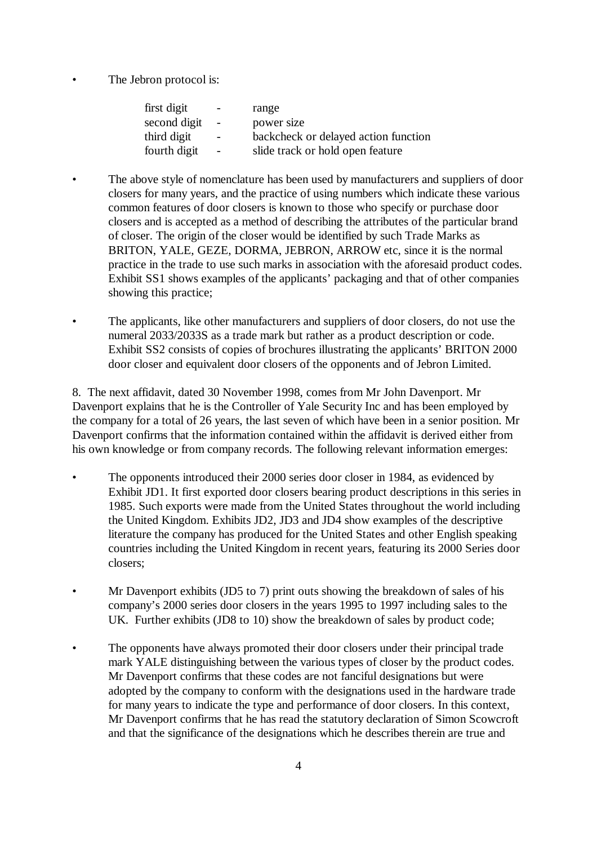The Jebron protocol is:

| first digit  | $\overline{\phantom{a}}$ | range                                |
|--------------|--------------------------|--------------------------------------|
| second digit | $\overline{a}$           | power size                           |
| third digit  | $-$                      | backcheck or delayed action function |
| fourth digit | $\sim$                   | slide track or hold open feature     |
|              |                          |                                      |

- The above style of nomenclature has been used by manufacturers and suppliers of door closers for many years, and the practice of using numbers which indicate these various common features of door closers is known to those who specify or purchase door closers and is accepted as a method of describing the attributes of the particular brand of closer. The origin of the closer would be identified by such Trade Marks as BRITON, YALE, GEZE, DORMA, JEBRON, ARROW etc, since it is the normal practice in the trade to use such marks in association with the aforesaid product codes. Exhibit SS1 shows examples of the applicants' packaging and that of other companies showing this practice;
- The applicants, like other manufacturers and suppliers of door closers, do not use the numeral 2033/2033S as a trade mark but rather as a product description or code. Exhibit SS2 consists of copies of brochures illustrating the applicants' BRITON 2000 door closer and equivalent door closers of the opponents and of Jebron Limited.

8. The next affidavit, dated 30 November 1998, comes from Mr John Davenport. Mr Davenport explains that he is the Controller of Yale Security Inc and has been employed by the company for a total of 26 years, the last seven of which have been in a senior position. Mr Davenport confirms that the information contained within the affidavit is derived either from his own knowledge or from company records. The following relevant information emerges:

- The opponents introduced their 2000 series door closer in 1984, as evidenced by Exhibit JD1. It first exported door closers bearing product descriptions in this series in 1985. Such exports were made from the United States throughout the world including the United Kingdom. Exhibits JD2, JD3 and JD4 show examples of the descriptive literature the company has produced for the United States and other English speaking countries including the United Kingdom in recent years, featuring its 2000 Series door closers;
- Mr Davenport exhibits (JD5 to 7) print outs showing the breakdown of sales of his company's 2000 series door closers in the years 1995 to 1997 including sales to the UK. Further exhibits (JD8 to 10) show the breakdown of sales by product code;
- The opponents have always promoted their door closers under their principal trade mark YALE distinguishing between the various types of closer by the product codes. Mr Davenport confirms that these codes are not fanciful designations but were adopted by the company to conform with the designations used in the hardware trade for many years to indicate the type and performance of door closers. In this context, Mr Davenport confirms that he has read the statutory declaration of Simon Scowcroft and that the significance of the designations which he describes therein are true and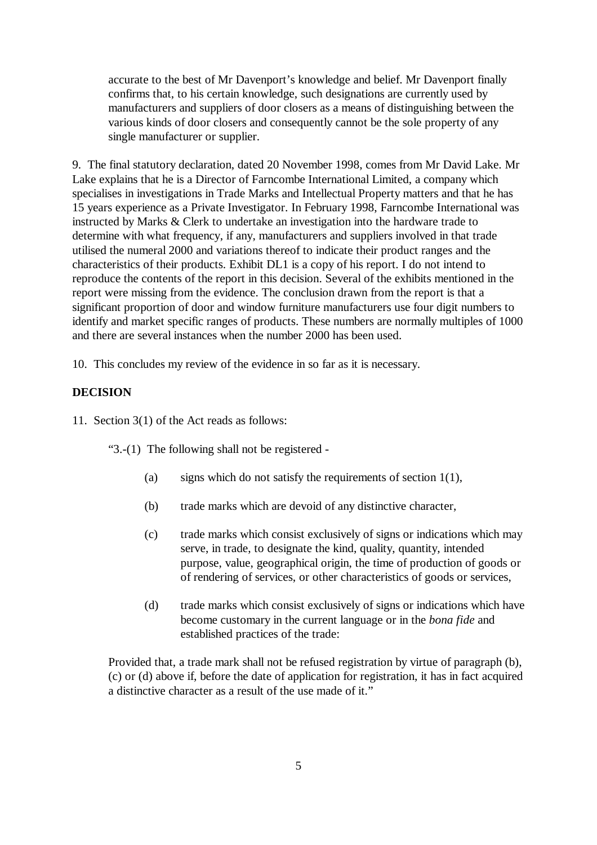accurate to the best of Mr Davenport's knowledge and belief. Mr Davenport finally confirms that, to his certain knowledge, such designations are currently used by manufacturers and suppliers of door closers as a means of distinguishing between the various kinds of door closers and consequently cannot be the sole property of any single manufacturer or supplier.

9. The final statutory declaration, dated 20 November 1998, comes from Mr David Lake. Mr Lake explains that he is a Director of Farncombe International Limited, a company which specialises in investigations in Trade Marks and Intellectual Property matters and that he has 15 years experience as a Private Investigator. In February 1998, Farncombe International was instructed by Marks & Clerk to undertake an investigation into the hardware trade to determine with what frequency, if any, manufacturers and suppliers involved in that trade utilised the numeral 2000 and variations thereof to indicate their product ranges and the characteristics of their products. Exhibit DL1 is a copy of his report. I do not intend to reproduce the contents of the report in this decision. Several of the exhibits mentioned in the report were missing from the evidence. The conclusion drawn from the report is that a significant proportion of door and window furniture manufacturers use four digit numbers to identify and market specific ranges of products. These numbers are normally multiples of 1000 and there are several instances when the number 2000 has been used.

10. This concludes my review of the evidence in so far as it is necessary.

## **DECISION**

11. Section 3(1) of the Act reads as follows:

"3.-(1) The following shall not be registered -

- (a) signs which do not satisfy the requirements of section  $1(1)$ ,
- (b) trade marks which are devoid of any distinctive character,
- (c) trade marks which consist exclusively of signs or indications which may serve, in trade, to designate the kind, quality, quantity, intended purpose, value, geographical origin, the time of production of goods or of rendering of services, or other characteristics of goods or services,
- (d) trade marks which consist exclusively of signs or indications which have become customary in the current language or in the *bona fide* and established practices of the trade:

Provided that, a trade mark shall not be refused registration by virtue of paragraph (b), (c) or (d) above if, before the date of application for registration, it has in fact acquired a distinctive character as a result of the use made of it."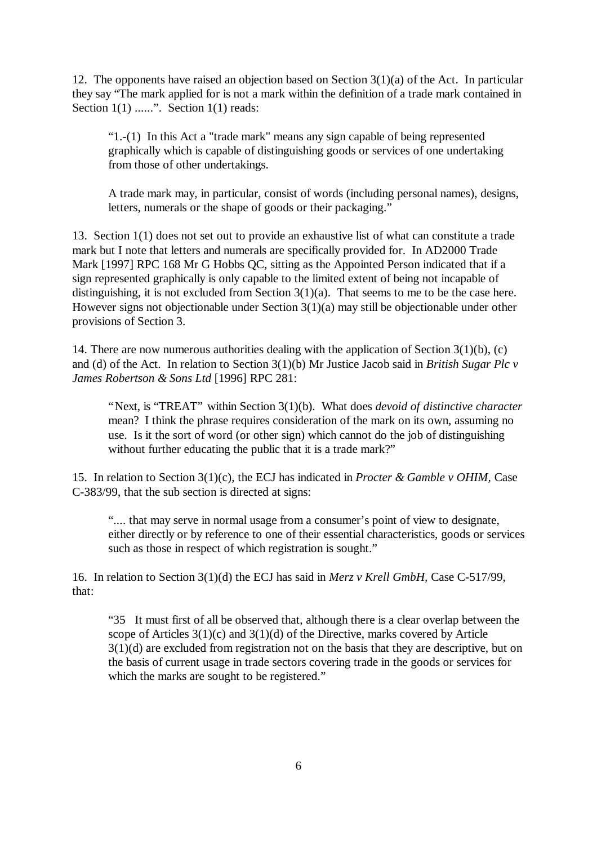12. The opponents have raised an objection based on Section 3(1)(a) of the Act. In particular they say "The mark applied for is not a mark within the definition of a trade mark contained in Section  $1(1)$  ......". Section  $1(1)$  reads:

"1.-(1) In this Act a "trade mark" means any sign capable of being represented graphically which is capable of distinguishing goods or services of one undertaking from those of other undertakings.

A trade mark may, in particular, consist of words (including personal names), designs, letters, numerals or the shape of goods or their packaging."

13. Section 1(1) does not set out to provide an exhaustive list of what can constitute a trade mark but I note that letters and numerals are specifically provided for. In AD2000 Trade Mark [1997] RPC 168 Mr G Hobbs QC, sitting as the Appointed Person indicated that if a sign represented graphically is only capable to the limited extent of being not incapable of distinguishing, it is not excluded from Section  $3(1)(a)$ . That seems to me to be the case here. However signs not objectionable under Section 3(1)(a) may still be objectionable under other provisions of Section 3.

14. There are now numerous authorities dealing with the application of Section 3(1)(b), (c) and (d) of the Act. In relation to Section 3(1)(b) Mr Justice Jacob said in *British Sugar Plc v James Robertson & Sons Ltd* [1996] RPC 281:

"Next, is "TREAT" within Section 3(1)(b). What does *devoid of distinctive character* mean? I think the phrase requires consideration of the mark on its own, assuming no use. Is it the sort of word (or other sign) which cannot do the job of distinguishing without further educating the public that it is a trade mark?"

15. In relation to Section 3(1)(c), the ECJ has indicated in *Procter & Gamble v OHIM,* Case C-383/99, that the sub section is directed at signs:

".... that may serve in normal usage from a consumer's point of view to designate, either directly or by reference to one of their essential characteristics, goods or services such as those in respect of which registration is sought."

16. In relation to Section 3(1)(d) the ECJ has said in *Merz v Krell GmbH,* Case C-517/99, that:

"35 It must first of all be observed that, although there is a clear overlap between the scope of Articles  $3(1)(c)$  and  $3(1)(d)$  of the Directive, marks covered by Article 3(1)(d) are excluded from registration not on the basis that they are descriptive, but on the basis of current usage in trade sectors covering trade in the goods or services for which the marks are sought to be registered."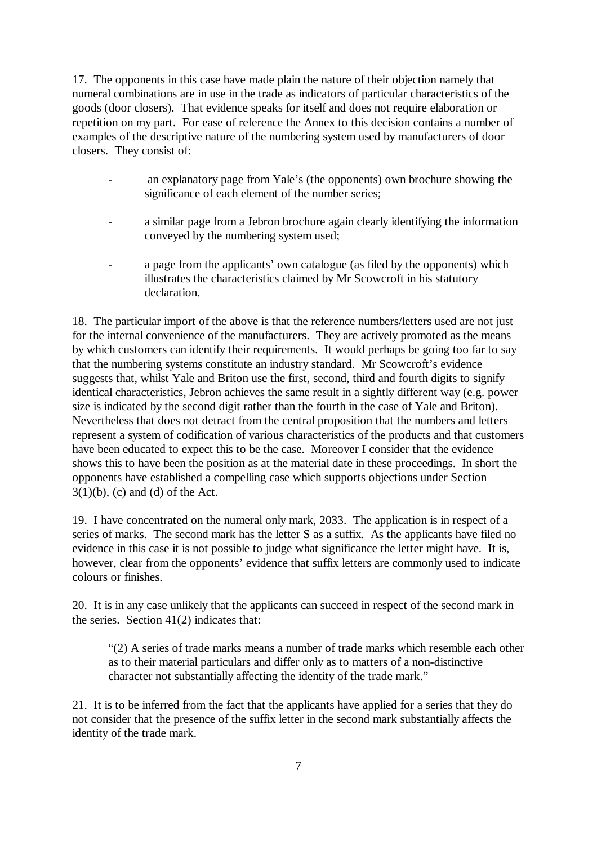17. The opponents in this case have made plain the nature of their objection namely that numeral combinations are in use in the trade as indicators of particular characteristics of the goods (door closers). That evidence speaks for itself and does not require elaboration or repetition on my part. For ease of reference the Annex to this decision contains a number of examples of the descriptive nature of the numbering system used by manufacturers of door closers. They consist of:

- an explanatory page from Yale's (the opponents) own brochure showing the significance of each element of the number series;
- a similar page from a Jebron brochure again clearly identifying the information conveyed by the numbering system used;
- a page from the applicants' own catalogue (as filed by the opponents) which illustrates the characteristics claimed by Mr Scowcroft in his statutory declaration.

18. The particular import of the above is that the reference numbers/letters used are not just for the internal convenience of the manufacturers. They are actively promoted as the means by which customers can identify their requirements. It would perhaps be going too far to say that the numbering systems constitute an industry standard. Mr Scowcroft's evidence suggests that, whilst Yale and Briton use the first, second, third and fourth digits to signify identical characteristics, Jebron achieves the same result in a sightly different way (e.g. power size is indicated by the second digit rather than the fourth in the case of Yale and Briton). Nevertheless that does not detract from the central proposition that the numbers and letters represent a system of codification of various characteristics of the products and that customers have been educated to expect this to be the case. Moreover I consider that the evidence shows this to have been the position as at the material date in these proceedings. In short the opponents have established a compelling case which supports objections under Section  $3(1)(b)$ , (c) and (d) of the Act.

19. I have concentrated on the numeral only mark, 2033. The application is in respect of a series of marks. The second mark has the letter S as a suffix. As the applicants have filed no evidence in this case it is not possible to judge what significance the letter might have. It is, however, clear from the opponents' evidence that suffix letters are commonly used to indicate colours or finishes.

20. It is in any case unlikely that the applicants can succeed in respect of the second mark in the series. Section  $41(2)$  indicates that:

"(2) A series of trade marks means a number of trade marks which resemble each other as to their material particulars and differ only as to matters of a non-distinctive character not substantially affecting the identity of the trade mark."

21. It is to be inferred from the fact that the applicants have applied for a series that they do not consider that the presence of the suffix letter in the second mark substantially affects the identity of the trade mark.